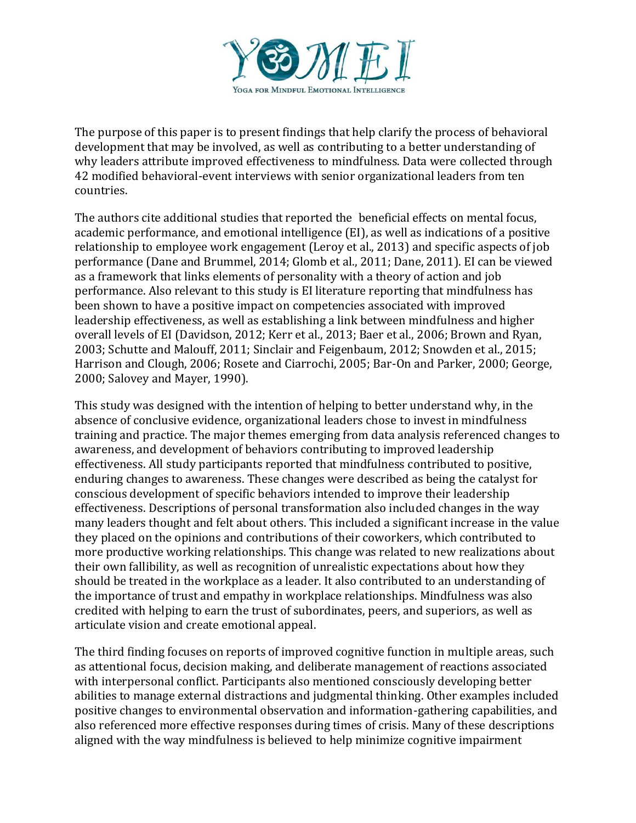

The purpose of this paper is to present findings that help clarify the process of behavioral development that may be involved, as well as contributing to a better understanding of why leaders attribute improved effectiveness to mindfulness. Data were collected through 42 modified behavioral-event interviews with senior organizational leaders from ten countries.

The authors cite additional studies that reported the beneficial effects on mental focus, academic performance, and emotional intelligence (EI), as well as indications of a positive relationship to employee work engagement (Leroy et al., 2013) and specific aspects of job performance (Dane and Brummel, 2014; Glomb et al., 2011; Dane, 2011). EI can be viewed as a framework that links elements of personality with a theory of action and job performance. Also relevant to this study is EI literature reporting that mindfulness has been shown to have a positive impact on competencies associated with improved leadership effectiveness, as well as establishing a link between mindfulness and higher overall levels of EI (Davidson, 2012; Kerr et al., 2013; Baer et al., 2006; Brown and Ryan, 2003; Schutte and Malouff, 2011; Sinclair and Feigenbaum, 2012; Snowden et al., 2015; Harrison and Clough, 2006; Rosete and Ciarrochi, 2005; Bar-On and Parker, 2000; George, 2000; Salovey and Mayer, 1990).

This study was designed with the intention of helping to better understand why, in the absence of conclusive evidence, organizational leaders chose to invest in mindfulness training and practice. The major themes emerging from data analysis referenced changes to awareness, and development of behaviors contributing to improved leadership effectiveness. All study participants reported that mindfulness contributed to positive, enduring changes to awareness. These changes were described as being the catalyst for conscious development of specific behaviors intended to improve their leadership effectiveness. Descriptions of personal transformation also included changes in the way many leaders thought and felt about others. This included a significant increase in the value they placed on the opinions and contributions of their coworkers, which contributed to more productive working relationships. This change was related to new realizations about their own fallibility, as well as recognition of unrealistic expectations about how they should be treated in the workplace as a leader. It also contributed to an understanding of the importance of trust and empathy in workplace relationships. Mindfulness was also credited with helping to earn the trust of subordinates, peers, and superiors, as well as articulate vision and create emotional appeal.

The third finding focuses on reports of improved cognitive function in multiple areas, such as attentional focus, decision making, and deliberate management of reactions associated with interpersonal conflict. Participants also mentioned consciously developing better abilities to manage external distractions and judgmental thinking. Other examples included positive changes to environmental observation and information-gathering capabilities, and also referenced more effective responses during times of crisis. Many of these descriptions aligned with the way mindfulness is believed to help minimize cognitive impairment